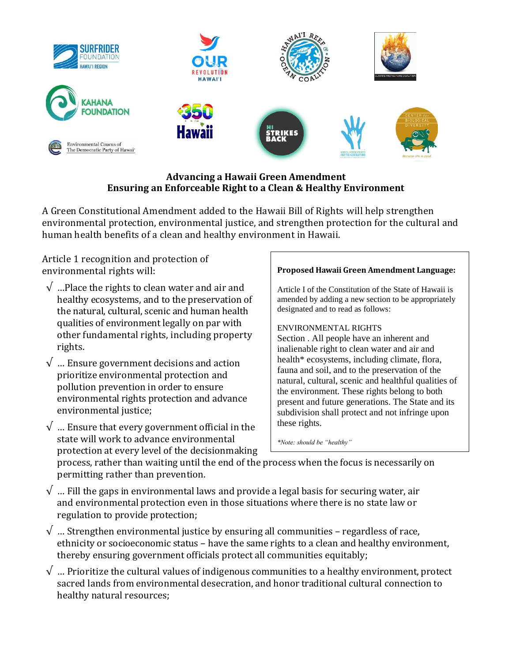

## **Advancing a Hawaii Green Amendment Ensuring an Enforceable Right to a Clean & Healthy Environment**

A Green Constitutional Amendment added to the Hawaii Bill of Rights will help strengthen environmental protection, environmental justice, and strengthen protection for the cultural and human health benefits of a clean and healthy environment in Hawaii.

Article 1 recognition and protection of environmental rights will:

- $\sqrt{\ }$  ...Place the rights to clean water and air and healthy ecosystems, and to the preservation of the natural, cultural, scenic and human health qualities of environment legally on par with other fundamental rights, including property rights.
- $\sqrt{\ }$  ... Ensure government decisions and action prioritize environmental protection and pollution prevention in order to ensure environmental rights protection and advance environmental justice;
- $\sqrt{\ }$  ... Ensure that every government official in the state will work to advance environmental protection at every level of the decisionmaking

## **Proposed Hawaii Green Amendment Language:**

Article I of the Constitution of the State of Hawaii is amended by adding a new section to be appropriately designated and to read as follows:

## ENVIRONMENTAL RIGHTS

Section . All people have an inherent and inalienable right to clean water and air and health\* ecosystems, including climate, flora, fauna and soil, and to the preservation of the natural, cultural, scenic and healthful qualities of the environment. These rights belong to both present and future generations. The State and its subdivision shall protect and not infringe upon these rights.

*\*Note: should be "healthy"*

process, rather than waiting until the end of the process when the focus is necessarily on permitting rather than prevention.

- $\sqrt{ }$  ... Fill the gaps in environmental laws and provide a legal basis for securing water, air and environmental protection even in those situations where there is no state law or regulation to provide protection;
- $\sqrt{ }$  ... Strengthen environmental justice by ensuring all communities regardless of race, ethnicity or socioeconomic status – have the same rights to a clean and healthy environment, thereby ensuring government officials protect all communities equitably;
- $\sqrt{ }$  … Prioritize the cultural values of indigenous communities to a healthy environment, protect sacred lands from environmental desecration, and honor traditional cultural connection to healthy natural resources;